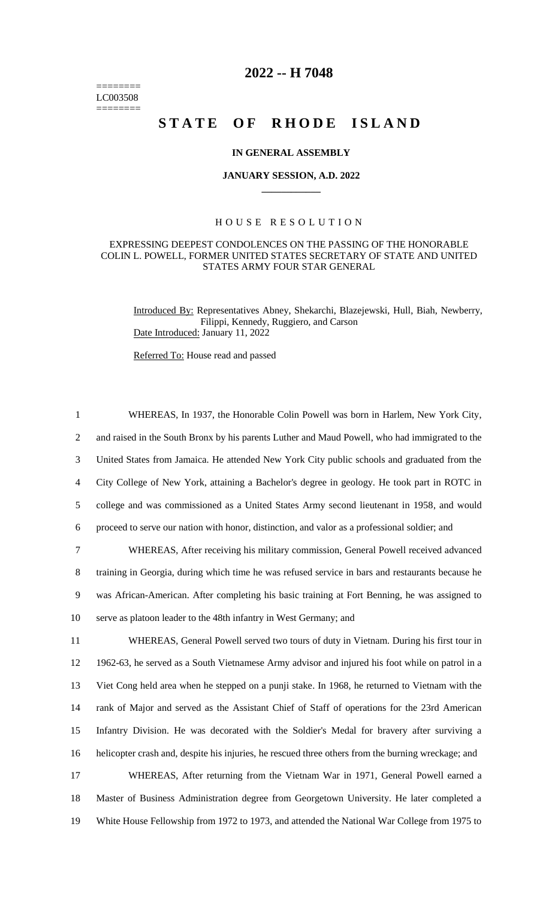======== LC003508 ========

## **2022 -- H 7048**

# **STATE OF RHODE ISLAND**

### **IN GENERAL ASSEMBLY**

#### **JANUARY SESSION, A.D. 2022 \_\_\_\_\_\_\_\_\_\_\_\_**

## H O U S E R E S O L U T I O N

#### EXPRESSING DEEPEST CONDOLENCES ON THE PASSING OF THE HONORABLE COLIN L. POWELL, FORMER UNITED STATES SECRETARY OF STATE AND UNITED STATES ARMY FOUR STAR GENERAL

Introduced By: Representatives Abney, Shekarchi, Blazejewski, Hull, Biah, Newberry, Filippi, Kennedy, Ruggiero, and Carson Date Introduced: January 11, 2022

Referred To: House read and passed

 WHEREAS, In 1937, the Honorable Colin Powell was born in Harlem, New York City, 2 and raised in the South Bronx by his parents Luther and Maud Powell, who had immigrated to the United States from Jamaica. He attended New York City public schools and graduated from the City College of New York, attaining a Bachelor's degree in geology. He took part in ROTC in college and was commissioned as a United States Army second lieutenant in 1958, and would proceed to serve our nation with honor, distinction, and valor as a professional soldier; and WHEREAS, After receiving his military commission, General Powell received advanced

8 training in Georgia, during which time he was refused service in bars and restaurants because he 9 was African-American. After completing his basic training at Fort Benning, he was assigned to 10 serve as platoon leader to the 48th infantry in West Germany; and

 WHEREAS, General Powell served two tours of duty in Vietnam. During his first tour in 1962-63, he served as a South Vietnamese Army advisor and injured his foot while on patrol in a Viet Cong held area when he stepped on a punji stake. In 1968, he returned to Vietnam with the rank of Major and served as the Assistant Chief of Staff of operations for the 23rd American Infantry Division. He was decorated with the Soldier's Medal for bravery after surviving a helicopter crash and, despite his injuries, he rescued three others from the burning wreckage; and WHEREAS, After returning from the Vietnam War in 1971, General Powell earned a Master of Business Administration degree from Georgetown University. He later completed a

19 White House Fellowship from 1972 to 1973, and attended the National War College from 1975 to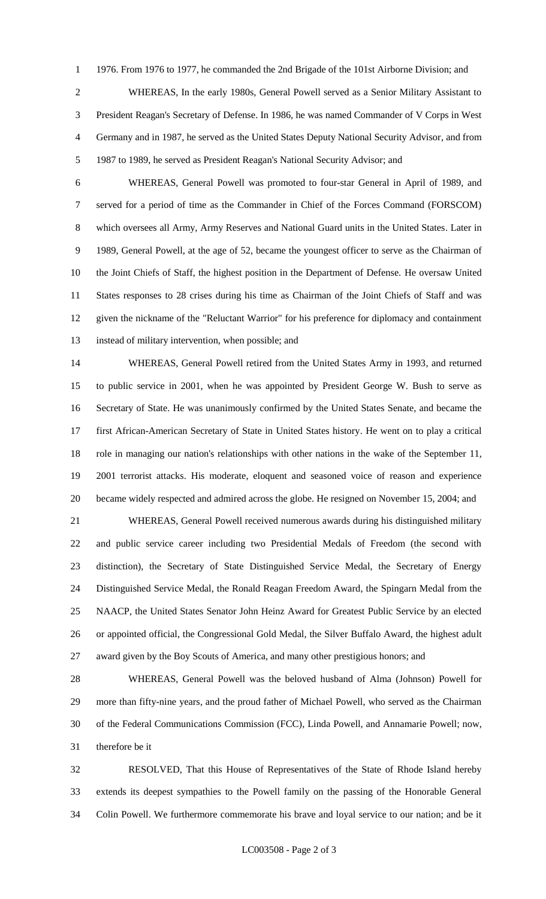1976. From 1976 to 1977, he commanded the 2nd Brigade of the 101st Airborne Division; and

 WHEREAS, In the early 1980s, General Powell served as a Senior Military Assistant to President Reagan's Secretary of Defense. In 1986, he was named Commander of V Corps in West Germany and in 1987, he served as the United States Deputy National Security Advisor, and from 1987 to 1989, he served as President Reagan's National Security Advisor; and

 WHEREAS, General Powell was promoted to four-star General in April of 1989, and served for a period of time as the Commander in Chief of the Forces Command (FORSCOM) which oversees all Army, Army Reserves and National Guard units in the United States. Later in 1989, General Powell, at the age of 52, became the youngest officer to serve as the Chairman of the Joint Chiefs of Staff, the highest position in the Department of Defense. He oversaw United States responses to 28 crises during his time as Chairman of the Joint Chiefs of Staff and was given the nickname of the "Reluctant Warrior" for his preference for diplomacy and containment instead of military intervention, when possible; and

 WHEREAS, General Powell retired from the United States Army in 1993, and returned to public service in 2001, when he was appointed by President George W. Bush to serve as Secretary of State. He was unanimously confirmed by the United States Senate, and became the first African-American Secretary of State in United States history. He went on to play a critical role in managing our nation's relationships with other nations in the wake of the September 11, 2001 terrorist attacks. His moderate, eloquent and seasoned voice of reason and experience became widely respected and admired across the globe. He resigned on November 15, 2004; and

 WHEREAS, General Powell received numerous awards during his distinguished military and public service career including two Presidential Medals of Freedom (the second with distinction), the Secretary of State Distinguished Service Medal, the Secretary of Energy Distinguished Service Medal, the Ronald Reagan Freedom Award, the Spingarn Medal from the NAACP, the United States Senator John Heinz Award for Greatest Public Service by an elected or appointed official, the Congressional Gold Medal, the Silver Buffalo Award, the highest adult award given by the Boy Scouts of America, and many other prestigious honors; and

 WHEREAS, General Powell was the beloved husband of Alma (Johnson) Powell for more than fifty-nine years, and the proud father of Michael Powell, who served as the Chairman of the Federal Communications Commission (FCC), Linda Powell, and Annamarie Powell; now, therefore be it

 RESOLVED, That this House of Representatives of the State of Rhode Island hereby extends its deepest sympathies to the Powell family on the passing of the Honorable General Colin Powell. We furthermore commemorate his brave and loyal service to our nation; and be it